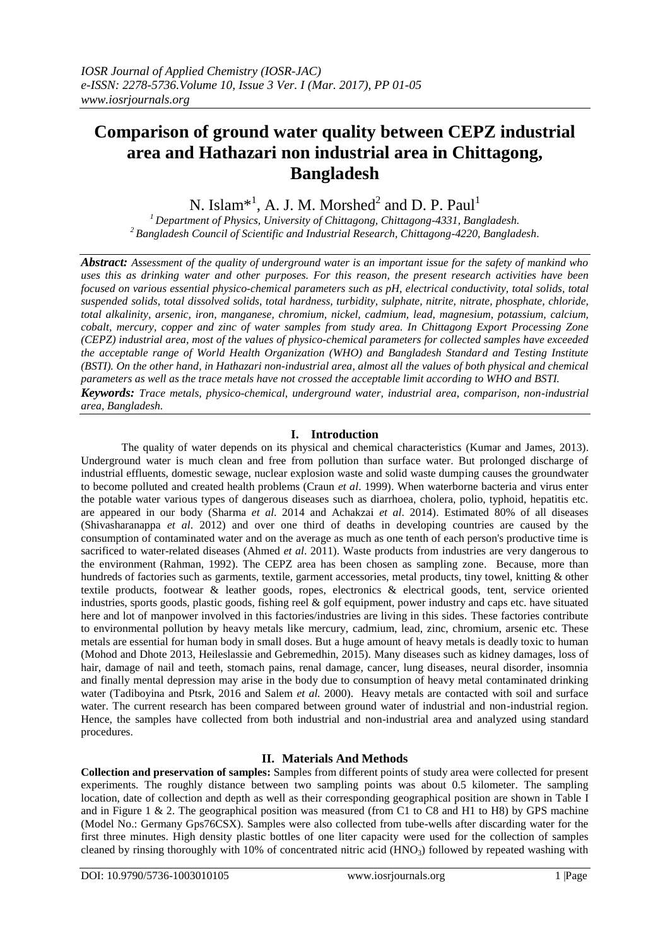# **Comparison of ground water quality between CEPZ industrial area and Hathazari non industrial area in Chittagong, Bangladesh**

N. Islam $^{*1}$ , A. J. M. Morshed<sup>2</sup> and D. P. Paul<sup>1</sup>

*<sup>1</sup>Department of Physics, University of Chittagong, Chittagong-4331, Bangladesh. <sup>2</sup>Bangladesh Council of Scientific and Industrial Research, Chittagong-4220, Bangladesh*.

*Abstract: Assessment of the quality of underground water is an important issue for the safety of mankind who uses this as drinking water and other purposes. For this reason, the present research activities have been focused on various essential physico-chemical parameters such as pH, electrical conductivity, total solids, total suspended solids, total dissolved solids, total hardness, turbidity, sulphate, nitrite, nitrate, phosphate, chloride, total alkalinity, arsenic, iron, manganese, chromium, nickel, cadmium, lead, magnesium, potassium, calcium, cobalt, mercury, copper and zinc of water samples from study area. In Chittagong Export Processing Zone (CEPZ) industrial area, most of the values of physico-chemical parameters for collected samples have exceeded the acceptable range of World Health Organization (WHO) and Bangladesh Standard and Testing Institute (BSTI). On the other hand, in Hathazari non-industrial area, almost all the values of both physical and chemical parameters as well as the trace metals have not crossed the acceptable limit according to WHO and BSTI. Keywords: Trace metals, physico-chemical, underground water, industrial area, comparison, non-industrial* 

*area, Bangladesh.*

# **I. Introduction**

The quality of water depends on its physical and chemical characteristics (Kumar and James, 2013). Underground water is much clean and free from pollution than surface water. But prolonged discharge of industrial effluents, domestic sewage, nuclear explosion waste and solid waste dumping causes the groundwater to become polluted and created health problems (Craun *et al*. 1999). When waterborne bacteria and virus enter the potable water various types of dangerous diseases such as diarrhoea, cholera, polio, typhoid, hepatitis etc. are appeared in our body (Sharma *et al*. 2014 and Achakzai *et al*. 2014). Estimated 80% of all diseases (Shivasharanappa *et al*. 2012) and over one third of deaths in developing countries are caused by the consumption of contaminated water and on the average as much as one tenth of each person's productive time is sacrificed to water-related diseases (Ahmed *et al*. 2011). Waste products from industries are very dangerous to the environment (Rahman, 1992). The CEPZ area has been chosen as sampling zone. Because, more than hundreds of factories such as garments, textile, garment accessories, metal products, tiny towel, knitting & other textile products, footwear & leather goods, ropes, electronics & electrical goods, tent, service oriented industries, sports goods, plastic goods, fishing reel & golf equipment, power industry and caps etc. have situated here and lot of manpower involved in this factories/industries are living in this sides. These factories contribute to environmental pollution by heavy metals like mercury, cadmium, lead, zinc, chromium, arsenic etc. These metals are essential for human body in small doses. But a huge amount of heavy metals is deadly toxic to human (Mohod and Dhote 2013, Heileslassie and Gebremedhin, 2015). Many diseases such as kidney damages, loss of hair, damage of nail and teeth, stomach pains, renal damage, cancer, lung diseases, neural disorder, insomnia and finally mental depression may arise in the body due to consumption of heavy metal contaminated drinking water (Tadiboyina and Ptsrk, 2016 and Salem *et al.* 2000). Heavy metals are contacted with soil and surface water. The current research has been compared between ground water of industrial and non-industrial region. Hence, the samples have collected from both industrial and non-industrial area and analyzed using standard procedures.

# **II. Materials And Methods**

**Collection and preservation of samples:** Samples from different points of study area were collected for present experiments. The roughly distance between two sampling points was about 0.5 kilometer. The sampling location, date of collection and depth as well as their corresponding geographical position are shown in Table I and in Figure 1 & 2. The geographical position was measured (from C1 to C8 and H1 to H8) by GPS machine (Model No.: Germany Gps76CSX). Samples were also collected from tube-wells after discarding water for the first three minutes. High density plastic bottles of one liter capacity were used for the collection of samples cleaned by rinsing thoroughly with 10% of concentrated nitric acid  $(HNO<sub>3</sub>)$  followed by repeated washing with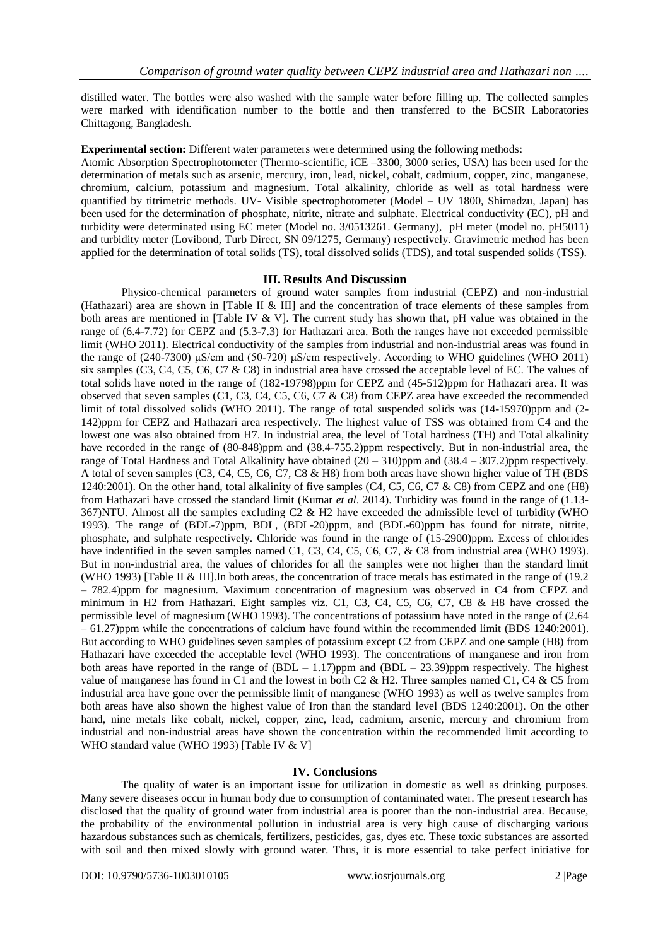distilled water. The bottles were also washed with the sample water before filling up. The collected samples were marked with identification number to the bottle and then transferred to the BCSIR Laboratories Chittagong, Bangladesh.

**Experimental section:** Different water parameters were determined using the following methods:

Atomic Absorption Spectrophotometer (Thermo-scientific, iCE –3300, 3000 series, USA) has been used for the determination of metals such as arsenic, mercury, iron, lead, nickel, cobalt, cadmium, copper, zinc, manganese, chromium, calcium, potassium and magnesium. Total alkalinity, chloride as well as total hardness were quantified by titrimetric methods. UV- Visible spectrophotometer (Model – UV 1800, Shimadzu, Japan) has been used for the determination of phosphate, nitrite, nitrate and sulphate. Electrical conductivity (EC), pH and turbidity were determinated using EC meter (Model no. 3/0513261. Germany), pH meter (model no. pH5011) and turbidity meter (Lovibond, Turb Direct, SN 09/1275, Germany) respectively. Gravimetric method has been applied for the determination of total solids (TS), total dissolved solids (TDS), and total suspended solids (TSS).

## **III. Results And Discussion**

Physico-chemical parameters of ground water samples from industrial (CEPZ) and non-industrial (Hathazari) area are shown in [Table II & III] and the concentration of trace elements of these samples from both areas are mentioned in [Table IV  $\&$  V]. The current study has shown that, pH value was obtained in the range of (6.4-7.72) for CEPZ and (5.3-7.3) for Hathazari area. Both the ranges have not exceeded permissible limit (WHO 2011). Electrical conductivity of the samples from industrial and non-industrial areas was found in the range of (240-7300) μS/cm and (50-720) μS/cm respectively. According to WHO guidelines (WHO 2011) six samples (C3, C4, C5, C6, C7 & C8) in industrial area have crossed the acceptable level of EC. The values of total solids have noted in the range of (182-19798)ppm for CEPZ and (45-512)ppm for Hathazari area. It was observed that seven samples (C1, C3, C4, C5, C6, C7 & C8) from CEPZ area have exceeded the recommended limit of total dissolved solids (WHO 2011). The range of total suspended solids was (14-15970)ppm and (2-142)ppm for CEPZ and Hathazari area respectively. The highest value of TSS was obtained from C4 and the lowest one was also obtained from H7. In industrial area, the level of Total hardness (TH) and Total alkalinity have recorded in the range of (80-848)ppm and (38.4-755.2)ppm respectively. But in non-industrial area, the range of Total Hardness and Total Alkalinity have obtained (20 – 310)ppm and (38.4 – 307.2)ppm respectively. A total of seven samples (C3, C4, C5, C6, C7, C8 & H8) from both areas have shown higher value of TH (BDS 1240:2001). On the other hand, total alkalinity of five samples (C4, C5, C6, C7 & C8) from CEPZ and one (H8) from Hathazari have crossed the standard limit (Kumar *et al*. 2014). Turbidity was found in the range of (1.13- 367)NTU. Almost all the samples excluding C2 & H2 have exceeded the admissible level of turbidity (WHO 1993). The range of (BDL-7)ppm, BDL, (BDL-20)ppm, and (BDL-60)ppm has found for nitrate, nitrite, phosphate, and sulphate respectively. Chloride was found in the range of (15-2900)ppm. Excess of chlorides have indentified in the seven samples named C1, C3, C4, C5, C6, C7, & C8 from industrial area (WHO 1993). But in non-industrial area, the values of chlorides for all the samples were not higher than the standard limit (WHO 1993) [Table II & III].In both areas, the concentration of trace metals has estimated in the range of (19.2 – 782.4)ppm for magnesium. Maximum concentration of magnesium was observed in C4 from CEPZ and minimum in H2 from Hathazari. Eight samples viz. C1, C3, C4, C5, C6, C7, C8 & H8 have crossed the permissible level of magnesium (WHO 1993). The concentrations of potassium have noted in the range of (2.64 – 61.27)ppm while the concentrations of calcium have found within the recommended limit (BDS 1240:2001). But according to WHO guidelines seven samples of potassium except C2 from CEPZ and one sample (H8) from Hathazari have exceeded the acceptable level (WHO 1993). The concentrations of manganese and iron from both areas have reported in the range of  $(BDL - 1.17)$ ppm and  $(BDL - 23.39)$ ppm respectively. The highest value of manganese has found in C1 and the lowest in both C2 & H2. Three samples named C1, C4 & C5 from industrial area have gone over the permissible limit of manganese (WHO 1993) as well as twelve samples from both areas have also shown the highest value of Iron than the standard level (BDS 1240:2001). On the other hand, nine metals like cobalt, nickel, copper, zinc, lead, cadmium, arsenic, mercury and chromium from industrial and non-industrial areas have shown the concentration within the recommended limit according to WHO standard value (WHO 1993) [Table IV & V]

# **IV. Conclusions**

The quality of water is an important issue for utilization in domestic as well as drinking purposes. Many severe diseases occur in human body due to consumption of contaminated water. The present research has disclosed that the quality of ground water from industrial area is poorer than the non-industrial area. Because, the probability of the environmental pollution in industrial area is very high cause of discharging various hazardous substances such as chemicals, fertilizers, pesticides, gas, dyes etc. These toxic substances are assorted with soil and then mixed slowly with ground water. Thus, it is more essential to take perfect initiative for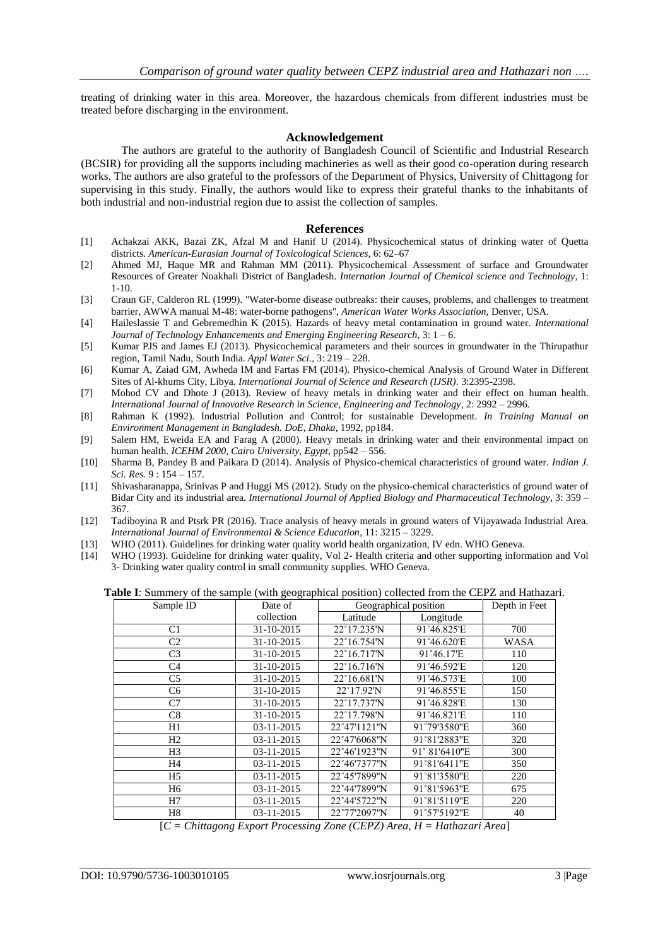treating of drinking water in this area. Moreover, the hazardous chemicals from different industries must be treated before discharging in the environment.

### **Acknowledgement**

The authors are grateful to the authority of Bangladesh Council of Scientific and Industrial Research (BCSIR) for providing all the supports including machineries as well as their good co-operation during research works. The authors are also grateful to the professors of the Department of Physics, University of Chittagong for supervising in this study. Finally, the authors would like to express their grateful thanks to the inhabitants of both industrial and non-industrial region due to assist the collection of samples.

#### **References**

- [1] Achakzai AKK, Bazai ZK, Afzal M and Hanif U (2014). Physicochemical status of drinking water of Quetta districts. *American-Eurasian Journal of Toxicological Sciences*, 6: 62–67
- [2] Ahmed MJ, Haque MR and Rahman MM (2011). Physicochemical Assessment of surface and Groundwater Resources of Greater Noakhali District of Bangladesh. *Internation Journal of Chemical science and Technology*, 1: 1-10.
- [3] Craun GF, Calderon RL (1999). "Water-borne disease outbreaks: their causes, problems, and challenges to treatment barrier, AWWA manual M-48: water-borne pathogens", *American Water Works Association,* Denver, USA.
- [4] Haileslassie T and Gebremedhin K (2015). Hazards of heavy metal contamination in ground water. *International Journal of Technology Enhancements and Emerging Engineering Research*, 3: 1 – 6.
- [5] Kumar PJS and James EJ (2013). Physicochemical parameters and their sources in groundwater in the Thirupathur region, Tamil Nadu, South India. *Appl Water Sci.*, 3: 219 – 228.
- [6] Kumar A, Zaiad GM, Awheda IM and Fartas FM (2014). Physico-chemical Analysis of Ground Water in Different Sites of Al-khums City, Libya. *International Journal of Science and Research (IJSR)*. 3:2395-2398.
- [7] Mohod CV and Dhote J (2013). Review of heavy metals in drinking water and their effect on human health. *International Journal of Innovative Research in Science, Engineering and Technology*, 2: 2992 – 2996.
- [8] Rahman K (1992). Industrial Pollution and Control; for sustainable Development*. In Training Manual on Environment Management in Bangladesh. DoE, Dhaka*, 1992, pp184.
- [9] Salem HM, Eweida EA and Farag A (2000). Heavy metals in drinking water and their environmental impact on human health. *ICEHM 2000, Cairo University, Egypt*, pp542 – 556.
- [10] Sharma B, Pandey B and Paikara D (2014). Analysis of Physico-chemical characteristics of ground water. *Indian J. Sci. Res.* 9 : 154 – 157.
- [11] Shivasharanappa, Srinivas P and Huggi MS (2012). Study on the physico-chemical characteristics of ground water of Bidar City and its industrial area*. International Journal of Applied Biology and Pharmaceutical Technology*, 3: 359 – 367.
- [12] Tadiboyina R and Ptsrk PR (2016). Trace analysis of heavy metals in ground waters of Vijayawada Industrial Area. *International Journal of Environmental & Science Education*, 11: 3215 – 3229.
- [13] WHO (2011). Guidelines for drinking water quality world health organization, IV edn. WHO Geneva.
- [14] WHO (1993). Guideline for drinking water quality, Vol 2- Health criteria and other supporting information and Vol 3- Drinking water quality control in small community supplies. WHO Geneva.

**Table I**: Summery of the sample (with geographical position) collected from the CEPZ and Hathazari.

| able 1. Building y of the sample (while geographical position) conceted from the CETE and Framazia |            |                       |               |             |
|----------------------------------------------------------------------------------------------------|------------|-----------------------|---------------|-------------|
| Sample ID                                                                                          | Date of    | Geographical position | Depth in Feet |             |
|                                                                                                    | collection | Latitude              | Longitude     |             |
| C1                                                                                                 | 31-10-2015 | 22°17.235'N           | 91°46.825'E   | 700         |
| C <sub>2</sub>                                                                                     | 31-10-2015 | 22°16.754'N           | 91°46.620'E   | <b>WASA</b> |
| C <sub>3</sub>                                                                                     | 31-10-2015 | 22°16.717'N           | 91°46.17'E    | 110         |
| C <sub>4</sub>                                                                                     | 31-10-2015 | 22°16.716'N           | 91°46.592'E   | 120         |
| C <sub>5</sub>                                                                                     | 31-10-2015 | 22°16.681'N           | 91°46.573'E   | 100         |
| C6                                                                                                 | 31-10-2015 | 22°17.92'N            | 91°46.855'E   | 150         |
| C7                                                                                                 | 31-10-2015 | 22°17.737'N           | 91°46.828'E   | 130         |
| C8                                                                                                 | 31-10-2015 | 22°17.798'N           | 91°46.821'E   | 110         |
| H1                                                                                                 | 03-11-2015 | 22°47'1121"N          | 91°79'3580"E  | 360         |
| H2                                                                                                 | 03-11-2015 | 22°47'6068"N          | 91°81'2883"E  | 320         |
| H <sub>3</sub>                                                                                     | 03-11-2015 | 22°46'1923"N          | 91° 81'6410"E | 300         |
| H4                                                                                                 | 03-11-2015 | 22°46'7377"N          | 91°81'6411"E  | 350         |
| H <sub>5</sub>                                                                                     | 03-11-2015 | 22°45'7899"N          | 91°81'3580"E  | 220         |
| H6                                                                                                 | 03-11-2015 | 22°44'7899"N          | 91°81'5963"E  | 675         |
| H7                                                                                                 | 03-11-2015 | 22°44'5722"N          | 91°81'5119"E  | 220         |
| H8                                                                                                 | 03-11-2015 | 22°77'2097"N          | 91°57'5192"E  | 40          |

[*C = Chittagong Export Processing Zone (CEPZ) Area, H = Hathazari Area*]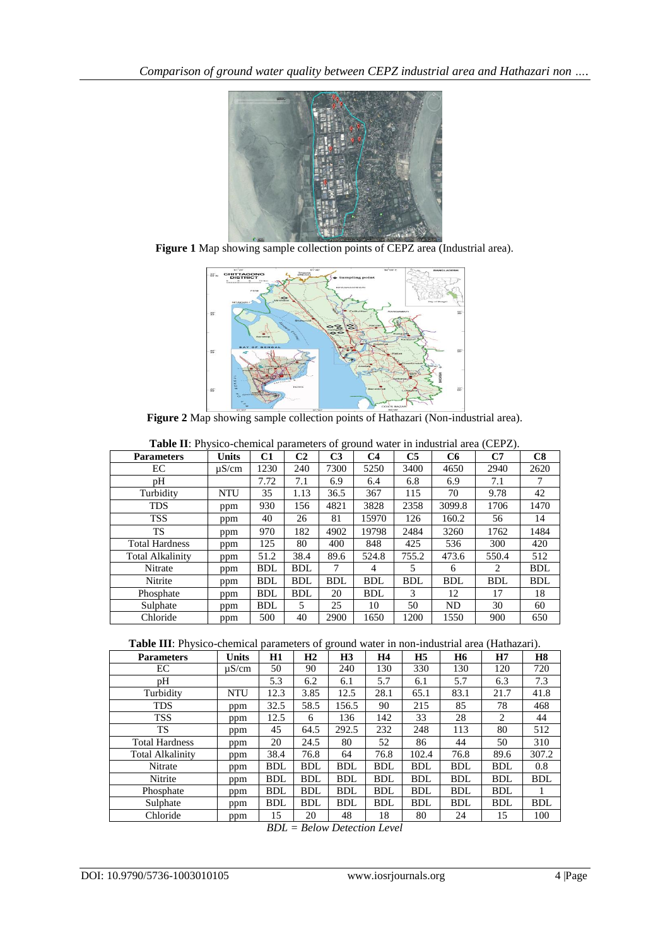

**Figure 1** Map showing sample collection points of CEPZ area (Industrial area).



**Figure 2** Map showing sample collection points of Hathazari (Non-industrial area).

| <b>Twore H</b> . Thysico enemiem parameters of ground water in measural area (CET $E$ ).<br><b>Parameters</b> | <b>Units</b> | C1         | C <sub>2</sub> | C <sub>3</sub> | C4         | C <sub>5</sub> | C <sub>6</sub> | C7         | C8         |
|---------------------------------------------------------------------------------------------------------------|--------------|------------|----------------|----------------|------------|----------------|----------------|------------|------------|
| EC                                                                                                            | $\mu$ S/cm   | 1230       | 240            | 7300           | 5250       | 3400           | 4650           | 2940       | 2620       |
| pH                                                                                                            |              | 7.72       | 7.1            | 6.9            | 6.4        | 6.8            | 6.9            | 7.1        | 7          |
| Turbidity                                                                                                     | <b>NTU</b>   | 35         | 1.13           | 36.5           | 367        | 115            | 70             | 9.78       | 42         |
| <b>TDS</b>                                                                                                    | ppm          | 930        | 156            | 4821           | 3828       | 2358           | 3099.8         | 1706       | 1470       |
| <b>TSS</b>                                                                                                    | ppm          | 40         | 26             | 81             | 15970      | 126            | 160.2          | 56         | 14         |
| <b>TS</b>                                                                                                     | ppm          | 970        | 182            | 4902           | 19798      | 2484           | 3260           | 1762       | 1484       |
| <b>Total Hardness</b>                                                                                         | ppm          | 125        | 80             | 400            | 848        | 425            | 536            | 300        | 420        |
| <b>Total Alkalinity</b>                                                                                       | ppm          | 51.2       | 38.4           | 89.6           | 524.8      | 755.2          | 473.6          | 550.4      | 512        |
| Nitrate                                                                                                       | ppm          | BDL        | <b>BDL</b>     | 7              | 4          | 5              | 6              | 2          | <b>BDL</b> |
| Nitrite                                                                                                       | ppm          | BDL        | <b>BDL</b>     | <b>BDL</b>     | <b>BDL</b> | <b>BDL</b>     | <b>BDL</b>     | <b>BDL</b> | <b>BDL</b> |
| Phosphate                                                                                                     | ppm          | <b>BDL</b> | <b>BDL</b>     | 20             | <b>BDL</b> | 3              | 12             | 17         | 18         |
| Sulphate                                                                                                      | ppm          | BDL        | 5              | 25             | 10         | 50             | ND             | 30         | 60         |
| Chloride                                                                                                      | ppm          | 500        | 40             | 2900           | 1650       | 1200           | 1550           | 900        | 650        |

**Table II**: Physico-chemical parameters of ground water in industrial area (CEPZ).

**Table III**: Physico-chemical parameters of ground water in non-industrial area (Hathazari).

| <b>Parameters</b>       | <b>Units</b> | H1         | H <sub>2</sub> | H3         | H4         | H <sub>5</sub> | <b>H6</b>  | H7         | <b>H8</b>  |
|-------------------------|--------------|------------|----------------|------------|------------|----------------|------------|------------|------------|
| EС                      | $\mu$ S/cm   | 50         | 90             | 240        | 130        | 330            | 130        | 120        | 720        |
| pН                      |              | 5.3        | 6.2            | 6.1        | 5.7        | 6.1            | 5.7        | 6.3        | 7.3        |
| Turbidity               | <b>NTU</b>   | 12.3       | 3.85           | 12.5       | 28.1       | 65.1           | 83.1       | 21.7       | 41.8       |
| <b>TDS</b>              | ppm          | 32.5       | 58.5           | 156.5      | 90         | 215            | 85         | 78         | 468        |
| <b>TSS</b>              | ppm          | 12.5       | 6              | 136        | 142        | 33             | 28         | 2          | 44         |
| TS                      | ppm          | 45         | 64.5           | 292.5      | 232        | 248            | 113        | 80         | 512        |
| <b>Total Hardness</b>   | ppm          | 20         | 24.5           | 80         | 52         | 86             | 44         | 50         | 310        |
| <b>Total Alkalinity</b> | ppm          | 38.4       | 76.8           | 64         | 76.8       | 102.4          | 76.8       | 89.6       | 307.2      |
| Nitrate                 | ppm          | <b>BDL</b> | <b>BDL</b>     | <b>BDL</b> | <b>BDL</b> | <b>BDL</b>     | <b>BDL</b> | <b>BDL</b> | 0.8        |
| Nitrite                 | ppm          | <b>BDL</b> | <b>BDL</b>     | <b>BDL</b> | <b>BDL</b> | <b>BDL</b>     | <b>BDL</b> | <b>BDL</b> | <b>BDL</b> |
| Phosphate               | ppm          | <b>BDL</b> | <b>BDL</b>     | <b>BDL</b> | <b>BDL</b> | <b>BDL</b>     | <b>BDL</b> | <b>BDL</b> | 1          |
| Sulphate                | ppm          | <b>BDL</b> | <b>BDL</b>     | <b>BDL</b> | <b>BDL</b> | <b>BDL</b>     | <b>BDL</b> | <b>BDL</b> | <b>BDL</b> |
| Chloride                | ppm          | 15         | 20             | 48         | 18         | 80             | 24         | 15         | 100        |

*BDL = Below Detection Level*